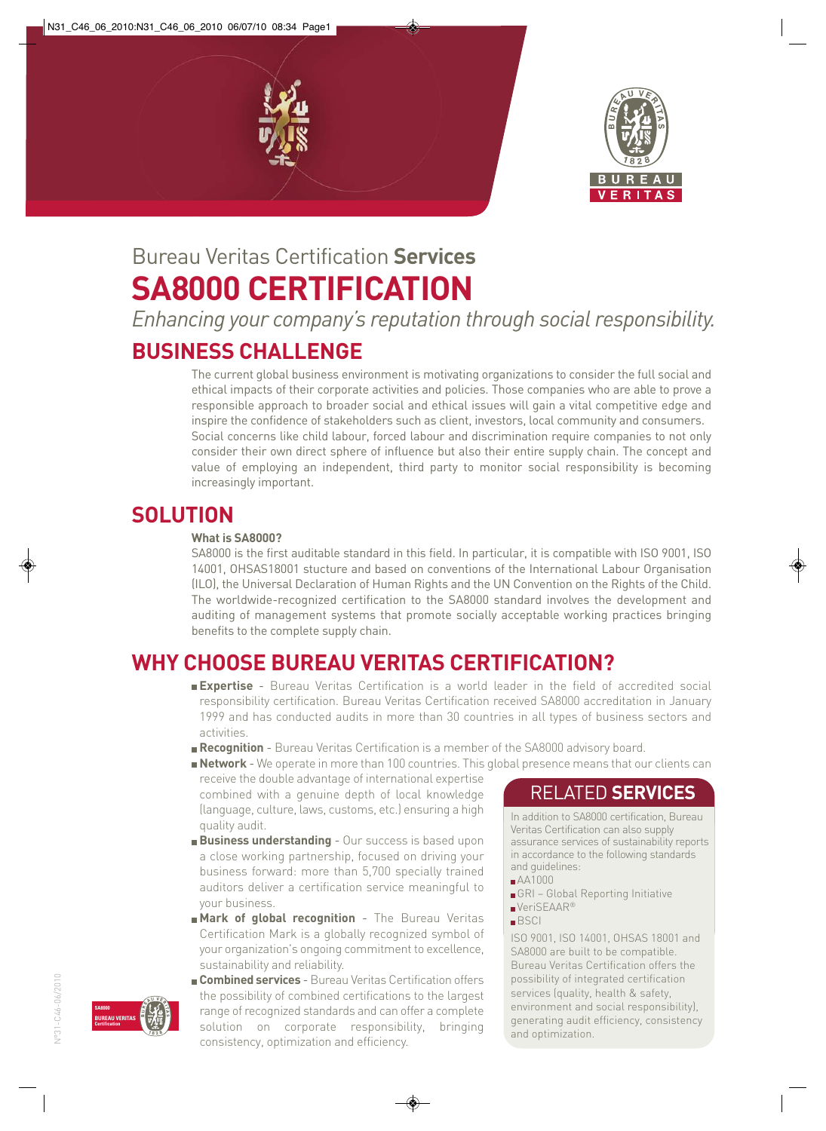



# Bureau Veritas Certification **Services SA8000 CERTIFICATION**

*Enhancing your company's reputation through social responsibility.*

## **BUSINESS CHALLENGE**

The current global business environment is motivating organizations to consider the full social and ethical impacts of their corporate activities and policies. Those companies who are able to prove a responsible approach to broader social and ethical issues will gain a vital competitive edge and inspire the confidence of stakeholders such as client, investors, local community and consumers. Social concerns like child labour, forced labour and discrimination require companies to not only consider their own direct sphere of influence but also their entire supply chain. The concept and value of employing an independent, third party to monitor social responsibility is becoming increasingly important.

### **SOLUTION**

#### **What is SA8000?**

SA8000 is the first auditable standard in this field. In particular, it is compatible with ISO 9001, ISO 14001, OHSAS18001 stucture and based on conventions of the International Labour Organisation (ILO), the Universal Declaration of Human Rights and the UN Convention on the Rights of the Child. The worldwide-recognized certification to the SA8000 standard involves the development and auditing of management systems that promote socially acceptable working practices bringing benefits to the complete supply chain.

## **WHY CHOOSE BUREAU VERITAS CERTIFICATION?**

**Expertise** - Bureau Veritas Certification is a world leader in the field of accredited social responsibility certification. Bureau Veritas Certification received SA8000 accreditation in January 1999 and has conducted audits in more than 30 countries in all types of business sectors and activities.

- **Recognition** Bureau Veritas Certification is a member of the SA8000 advisory board.
- **Network** We operate in more than 100 countries. This global presence means that our clients can

receive the double advantage of international expertise combined with a genuine depth of local knowledge (language, culture, laws, customs, etc.) ensuring a high quality audit.

- **Business understanding** Our success is based upon a close working partnership, focused on driving your business forward: more than 5,700 specially trained auditors deliver a certification service meaningful to your business.
- **Mark of global recognition** The Bureau Veritas Certification Mark is a globally recognized symbol of your organization's ongoing commitment to excellence, sustainability and reliability.
- **Combined services** Bureau Veritas Certification offers the possibility of combined certifications to the largest range of recognized standards and can offer a complete solution on corporate responsibility, bringing consistency, optimization and efficiency.

#### RELATED **SERVICES**

In addition to SA8000 certification, Bureau Veritas Certification can also supply assurance services of sustainability reports in accordance to the following standards and guidelines:

- AA1000
- GRI Global Reporting Initiative ■VeriSEAAR<sup>®</sup>
- BSCI

ISO 9001, ISO 14001, OHSAS 18001 and SA8000 are built to be compatible. Bureau Veritas Certification offers the possibility of integrated certification services (quality, health & safety, environment and social responsibility), generating audit efficiency, consistency and optimization.